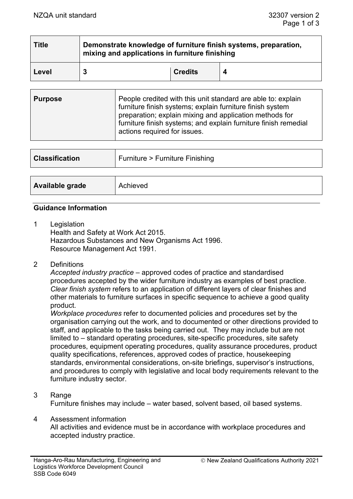| <b>Title</b> | Demonstrate knowledge of furniture finish systems, preparation,<br>mixing and applications in furniture finishing |                |  |
|--------------|-------------------------------------------------------------------------------------------------------------------|----------------|--|
| Level        |                                                                                                                   | <b>Credits</b> |  |

| furniture finish systems; explain furniture finish system<br>preparation; explain mixing and application methods for<br>furniture finish systems; and explain furniture finish remedial<br>actions required for issues. | <b>Purpose</b> | People credited with this unit standard are able to: explain |
|-------------------------------------------------------------------------------------------------------------------------------------------------------------------------------------------------------------------------|----------------|--------------------------------------------------------------|
|-------------------------------------------------------------------------------------------------------------------------------------------------------------------------------------------------------------------------|----------------|--------------------------------------------------------------|

| <b>Classification</b> | Furniture > Furniture Finishing |
|-----------------------|---------------------------------|
|                       |                                 |
| Available grade       | Achieved                        |

### **Guidance Information**

- 1 Legislation Health and Safety at Work Act 2015. Hazardous Substances and New Organisms Act 1996. Resource Management Act 1991.
- 2 Definitions

*Accepted industry practice* – approved codes of practice and standardised procedures accepted by the wider furniture industry as examples of best practice. *Clear finish system* refers to an application of different layers of clear finishes and other materials to furniture surfaces in specific sequence to achieve a good quality product.

*Workplace procedures* refer to documented policies and procedures set by the organisation carrying out the work, and to documented or other directions provided to staff, and applicable to the tasks being carried out. They may include but are not limited to – standard operating procedures, site-specific procedures, site safety procedures, equipment operating procedures, quality assurance procedures, product quality specifications, references, approved codes of practice, housekeeping standards, environmental considerations, on-site briefings, supervisor's instructions, and procedures to comply with legislative and local body requirements relevant to the furniture industry sector.

### 3 Range Furniture finishes may include – water based, solvent based, oil based systems.

4 Assessment information

All activities and evidence must be in accordance with workplace procedures and accepted industry practice.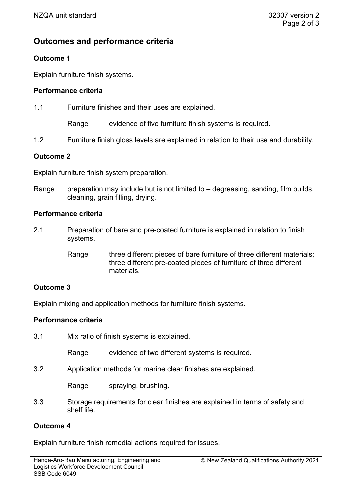# **Outcomes and performance criteria**

# **Outcome 1**

Explain furniture finish systems.

# **Performance criteria**

1.1 Furniture finishes and their uses are explained.

Range evidence of five furniture finish systems is required.

1.2 Furniture finish gloss levels are explained in relation to their use and durability.

# **Outcome 2**

Explain furniture finish system preparation.

Range preparation may include but is not limited to  $-$  degreasing, sanding, film builds, cleaning, grain filling, drying.

# **Performance criteria**

- 2.1 Preparation of bare and pre-coated furniture is explained in relation to finish systems.
	- Range three different pieces of bare furniture of three different materials; three different pre-coated pieces of furniture of three different materials.

# **Outcome 3**

Explain mixing and application methods for furniture finish systems.

### **Performance criteria**

3.1 Mix ratio of finish systems is explained.

Range evidence of two different systems is required.

3.2 Application methods for marine clear finishes are explained.

Range spraying, brushing.

3.3 Storage requirements for clear finishes are explained in terms of safety and shelf life.

### **Outcome 4**

Explain furniture finish remedial actions required for issues.